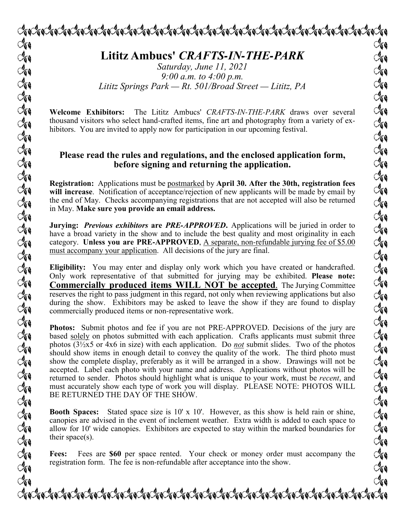**Lititz Ambucs'** *CRAFTS-IN-THE-PARK*

*Saturday, June 11, 2021 9:00 a.m. to 4:00 p.m. Lititz Springs Park — Rt. 501/Broad Street — Lititz, PA*

**Welcome Exhibitors:** The Lititz Ambucs' *CRAFTS-IN-THE-PARK* draws over several thousand visitors who select hand-crafted items, fine art and photography from a variety of exhibitors. You are invited to apply now for participation in our upcoming festival.

## **Please read the rules and regulations, and the enclosed application form, before signing and returning the application.**

**Registration:** Applications must be postmarked by **April 30. After the 30th, registration fees will increase**. Notification of acceptance/rejection of new applicants will be made by email by the end of May. Checks accompanying registrations that are not accepted will also be returned in May. **Make sure you provide an email address.**

**Jurying:** *Previous exhibitors* **are** *PRE-APPROVED***.** Applications will be juried in order to have a broad variety in the show and to include the best quality and most originality in each category. **Unless you are PRE-APPROVED**, A separate, non-refundable jurying fee of \$5.00 must accompany your application. All decisions of the jury are final.

**Eligibility:** You may enter and display only work which you have created or handcrafted. Only work representative of that submitted for jurying may be exhibited. **Please note: Commercially produced items WILL NOT be accepted**. The Jurying Committee reserves the right to pass judgment in this regard, not only when reviewing applications but also during the show. Exhibitors may be asked to leave the show if they are found to display commercially produced items or non-representative work.

**Photos:** Submit photos and fee if you are not PRE-APPROVED. Decisions of the jury are based solely on photos submitted with each application. Crafts applicants must submit three photos (3½x5 or 4x6 in size) with each application. Do *not* submit slides. Two of the photos should show items in enough detail to convey the quality of the work. The third photo must show the complete display, preferably as it will be arranged in a show. Drawings will not be accepted. Label each photo with your name and address. Applications without photos will be returned to sender. Photos should highlight what is unique to your work, must be *recent*, and must accurately show each type of work you will display. PLEASE NOTE: PHOTOS WILL BE RETURNED THE DAY OF THE SHOW.

**Booth Spaces:** Stated space size is 10' x 10'. However, as this show is held rain or shine, canopies are advised in the event of inclement weather. Extra width is added to each space to allow for 10' wide canopies. Exhibitors are expected to stay within the marked boundaries for their space(s).

**Fees:** Fees are **\$60** per space rented. Your check or money order must accompany the registration form. The fee is non-refundable after acceptance into the show.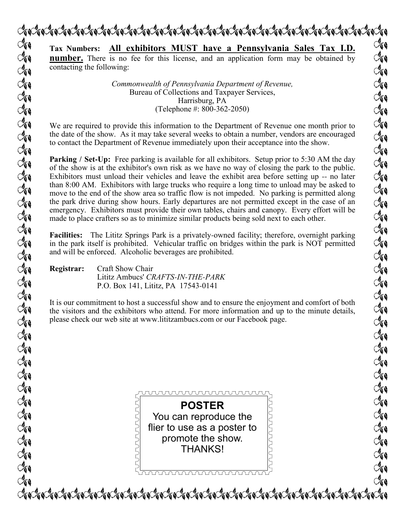

runununun ruuuruuruu LALANANI **POSTER** You can reproduce the flier to use as a poster to promote the show. THANKS!<u>ummmmmmmmmmm</u>